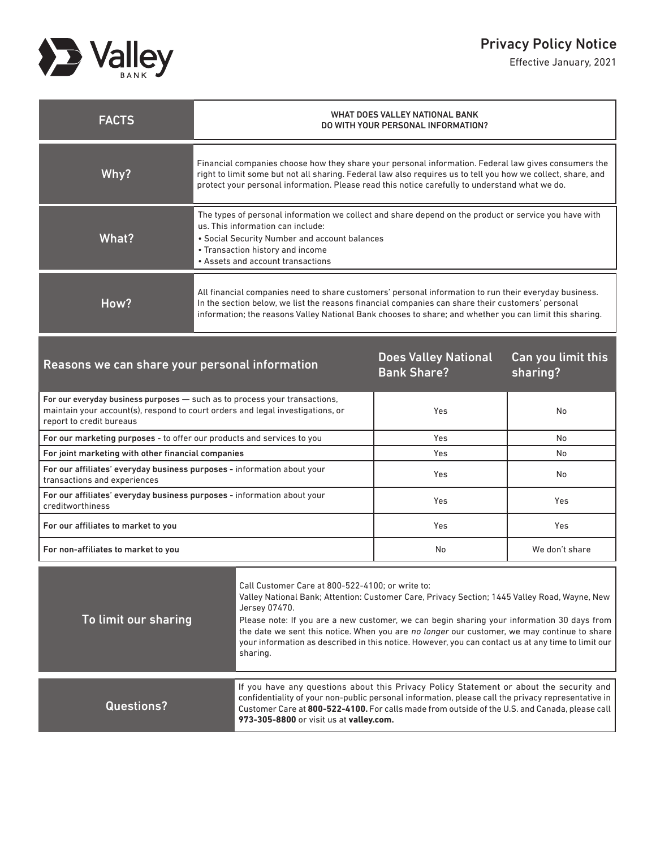## Privacy Policy Notice



Effective January, 2021

| <b>FACTS</b>                                                                                                                                                                             | WHAT DOES VALLEY NATIONAL BANK<br>DO WITH YOUR PERSONAL INFORMATION?                                                                                                                                                                                                                                                                                                                                                                                                              |                                                   |                                |
|------------------------------------------------------------------------------------------------------------------------------------------------------------------------------------------|-----------------------------------------------------------------------------------------------------------------------------------------------------------------------------------------------------------------------------------------------------------------------------------------------------------------------------------------------------------------------------------------------------------------------------------------------------------------------------------|---------------------------------------------------|--------------------------------|
| Why?                                                                                                                                                                                     | Financial companies choose how they share your personal information. Federal law gives consumers the<br>right to limit some but not all sharing. Federal law also requires us to tell you how we collect, share, and<br>protect your personal information. Please read this notice carefully to understand what we do.                                                                                                                                                            |                                                   |                                |
| What?                                                                                                                                                                                    | The types of personal information we collect and share depend on the product or service you have with<br>us. This information can include:<br>• Social Security Number and account balances<br>• Transaction history and income<br>• Assets and account transactions                                                                                                                                                                                                              |                                                   |                                |
| How?                                                                                                                                                                                     | All financial companies need to share customers' personal information to run their everyday business.<br>In the section below, we list the reasons financial companies can share their customers' personal<br>information; the reasons Valley National Bank chooses to share; and whether you can limit this sharing.                                                                                                                                                             |                                                   |                                |
| Reasons we can share your personal information                                                                                                                                           |                                                                                                                                                                                                                                                                                                                                                                                                                                                                                   | <b>Does Valley National</b><br><b>Bank Share?</b> | Can you limit this<br>sharing? |
| For our everyday business purposes - such as to process your transactions,<br>maintain your account(s), respond to court orders and legal investigations, or<br>report to credit bureaus |                                                                                                                                                                                                                                                                                                                                                                                                                                                                                   | Yes                                               | No                             |
| For our marketing purposes - to offer our products and services to you                                                                                                                   |                                                                                                                                                                                                                                                                                                                                                                                                                                                                                   | Yes                                               | No                             |
| For joint marketing with other financial companies                                                                                                                                       |                                                                                                                                                                                                                                                                                                                                                                                                                                                                                   | Yes                                               | No                             |
| For our affiliates' everyday business purposes - information about your<br>transactions and experiences                                                                                  |                                                                                                                                                                                                                                                                                                                                                                                                                                                                                   | Yes                                               | No                             |
| For our affiliates' everyday business purposes - information about your<br>creditworthiness                                                                                              |                                                                                                                                                                                                                                                                                                                                                                                                                                                                                   | Yes                                               | Yes                            |
| For our affiliates to market to you                                                                                                                                                      |                                                                                                                                                                                                                                                                                                                                                                                                                                                                                   | Yes                                               | Yes                            |
| For non-affiliates to market to you                                                                                                                                                      |                                                                                                                                                                                                                                                                                                                                                                                                                                                                                   | No                                                | We don't share                 |
| To limit our sharing                                                                                                                                                                     | Call Customer Care at 800-522-4100; or write to:<br>Valley National Bank; Attention: Customer Care, Privacy Section; 1445 Valley Road, Wayne, New<br>Jersey 07470.<br>Please note: If you are a new customer, we can begin sharing your information 30 days from<br>the date we sent this notice. When you are no longer our customer, we may continue to share<br>your information as described in this notice. However, you can contact us at any time to limit our<br>sharing. |                                                   |                                |
| <b>Questions?</b>                                                                                                                                                                        | If you have any questions about this Privacy Policy Statement or about the security and<br>confidentiality of your non-public personal information, please call the privacy representative in<br>Customer Care at 800-522-4100. For calls made from outside of the U.S. and Canada, please call<br>973-305-8800 or visit us at valley.com.                                                                                                                                        |                                                   |                                |